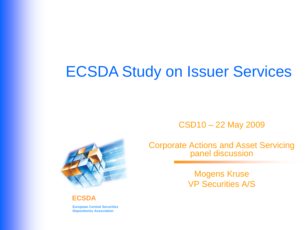# ECSDA Study on Issuer Services

CSD10 – 22 May 2009



Corporate Actions and Asset Servicing panel discussion

> Mogens Kruse VP Securities A/S

**ECSDA**

**European Central Securities Depositories Association**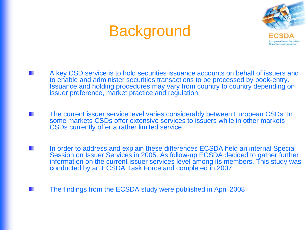# **Background**



- A key CSD service is to hold securities issuance accounts on behalf of issuers and to enable and administer securities transactions to be processed by book-entry. Issuance and holding procedures may vary from country to country depending on issuer preference, market practice and regulation.
- The current issuer service level varies considerably between European CSDs. In some markets CSDs offer extensive services to issuers while in other markets CSDs currently offer a rather limited service.
- In order to address and explain these differences ECSDA held an internal Special Session on Issuer Services in 2005. As follow-up ECSDA decided to gather further information on the current issuer services level among its members. This study was conducted by an ECSDA Task Force and completed in 2007.
- The findings from the ECSDA study were published in April 2008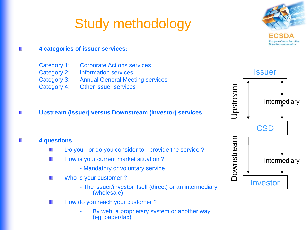# Study methodology



#### **4 categories of issuer services:**

| Category 1: | <b>Corporate Actions services</b>      |
|-------------|----------------------------------------|
| Category 2: | <b>Information services</b>            |
| Category 3: | <b>Annual General Meeting services</b> |
| Category 4: | Other issuer services                  |

#### **Upstream (Issuer) versus Downstream (Investor) services**

#### **4 questions**

- Do you or do you consider to provide the service ?
- How is your current market situation ? ш
	- Mandatory or voluntary service
- Who is your customer ? ш
	- The issuer/investor itself (direct) or an intermediary (wholesale)
- How do you reach your customer ? ш
	- By web, a proprietary system or another way (eg. paper/fax)

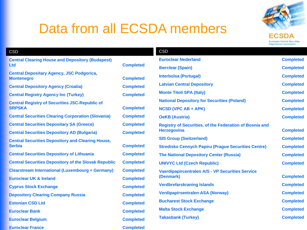

**Completed Completed Completed Latvian Central Depository Completed Completed National Depository for Securities (Poland) Completed Completed Completed** 

**Herzegovina Completed SIS Group (Switzerland) Completed Stredisko Cennych Papiru (Prague Securities Centre) Completed The National Depository Center (Russia) Completed**  $Completed$ 

**(Denmark) Completed Completed Completed Completed Completed Completed** 

### Data from all ECSDA members

| <b>CSD</b>                                                            |                  | <b>CSD</b>                                                     |  |
|-----------------------------------------------------------------------|------------------|----------------------------------------------------------------|--|
| <b>Central Clearing House and Depository (Budapest)</b>               |                  | <b>Euroclear Nederland</b>                                     |  |
| <b>Ltd</b>                                                            | <b>Completed</b> | <b>Iberclear (Spain)</b>                                       |  |
| <b>Central Depositary Agency, JSC Podgorica,</b><br><b>Montenegro</b> | <b>Completed</b> | <b>Interbolsa (Portugal)</b>                                   |  |
| <b>Central Depository Agency (Croatia)</b>                            | <b>Completed</b> | <b>Latvian Central Depository</b>                              |  |
| <b>Central Registry Agency Inc (Turkey)</b>                           | <b>Completed</b> | <b>Monte Titoli SPA (Italy)</b>                                |  |
| <b>Central Registry of Securities JSC-Republic of</b>                 |                  | <b>National Depository for Securities (Poland)</b>             |  |
| <b>SRPSKA</b>                                                         | <b>Completed</b> | <b>NCSD (VPC AB + APK)</b>                                     |  |
| <b>Central Securities Clearing Corporation (Slovania)</b>             | <b>Completed</b> | <b>OeKB (Austria)</b>                                          |  |
| <b>Central Securities Depositary SA (Greece)</b>                      | <b>Completed</b> | <b>Registry of Securities. of the Federation of Bosnia and</b> |  |
| <b>Central Securities Depository AD (Bulgaria)</b>                    | <b>Completed</b> | <b>Herzegovina</b>                                             |  |
| <b>Central Securities Depository and Clearing House,</b>              |                  | <b>SIS Group (Switzerland)</b>                                 |  |
| <b>Completed</b><br><b>Serbia</b>                                     |                  | <b>Stredisko Cennych Papiru (Prague Securities Centre)</b>     |  |
| <b>Central Securities Depository of Lithuania</b>                     | <b>Completed</b> | <b>The National Depository Center (Russia)</b>                 |  |
| <b>Central Securities Depository of the Slovak Republic</b>           | <b>Completed</b> | <b>UNIVYC Ltd (Czech Republic)</b>                             |  |
| Clearstream International (Luxembourg + Germany)                      | <b>Completed</b> | <b>Vaerdipapircentralen A/S - VP Securities Service</b>        |  |
| <b>Euroclear UK &amp; Ireland</b>                                     | <b>Completed</b> | (Denmark)                                                      |  |
| <b>Cyprus Stock Exchange</b>                                          | <b>Completed</b> | <b>Verdbrefarskraning Islands</b>                              |  |
| <b>Depository Clearing Company Russia</b>                             | <b>Completed</b> | <b>Verdipapirsentralen ASA (Norway)</b>                        |  |
| <b>Estonian CSD Ltd</b>                                               | <b>Completed</b> | <b>Bucharest Stock Exchange</b>                                |  |
| <b>Euroclear Bank</b>                                                 | <b>Completed</b> | <b>Malta Stock Exchange</b>                                    |  |
| <b>Euroclear Belgium</b>                                              | <b>Completed</b> | <b>Takasbank (Turkey)</b>                                      |  |
| <b>Euroclear France</b>                                               | <b>Completed</b> |                                                                |  |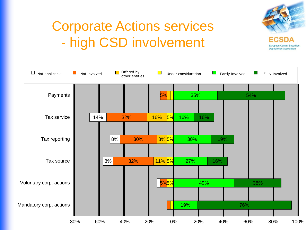

# Corporate Actions services - high CSD involvement

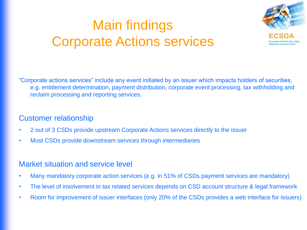# Main findings Corporate Actions services



"Corporate actions services" include any event initiated by an issuer which impacts holders of securities, e.g. entitlement determination, payment distribution, corporate event processing, tax withholding and reclaim processing and reporting services.

### Customer relationship

- 2 out of 3 CSDs provide upstream Corporate Actions services directly to the issuer
- Most CSDs provide downstream services through intermediaries

- Many mandatory corporate action services (e.g. in 51% of CSDs payment services are mandatory)
- The level of involvement in tax related services depends on CSD account structure & legal framework
- Room for improvement of issuer interfaces (only 20% of the CSDs provides a web interface for issuers)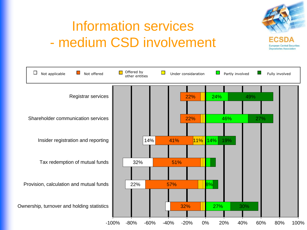

## Information services - medium CSD involvement

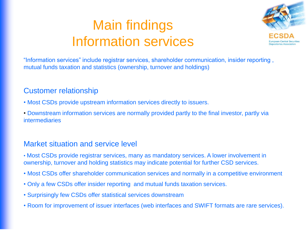## Main findings Information services



"Information services" include registrar services, shareholder communication, insider reporting , mutual funds taxation and statistics (ownership, turnover and holdings)

### Customer relationship

- Most CSDs provide upstream information services directly to issuers.
- Downstream information services are normally provided partly to the final investor, partly via intermediaries

- Most CSDs provide registrar services, many as mandatory services. A lower involvement in ownership, turnover and holding statistics may indicate potential for further CSD services.
- Most CSDs offer shareholder communication services and normally in a competitive environment
- Only a few CSDs offer insider reporting and mutual funds taxation services.
- Surprisingly few CSDs offer statistical services downstream
- Room for improvement of issuer interfaces (web interfaces and SWIFT formats are rare services).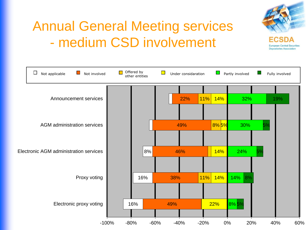

# Annual General Meeting services - medium CSD involvement

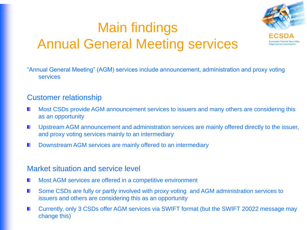## Main findings Annual General Meeting services



"Annual General Meeting" (AGM) services include announcement, administration and proxy voting services

#### Customer relationship

- Most CSDs provide AGM announcement services to issuers and many others are considering this as an opportunity
- Upstream AGM announcement and administration services are mainly offered directly to the issuer, and proxy voting services mainly to an intermediary
- Downstream AGM services are mainly offered to an intermediary

- Most AGM services are offered in a competitive environment
- Some CSDs are fully or partly involved with proxy voting and AGM administration services to ٠ issuers and others are considering this as an opportunity
- Currently, only 3 CSDs offer AGM services via SWIFT format (but the SWIFT 20022 message may change this)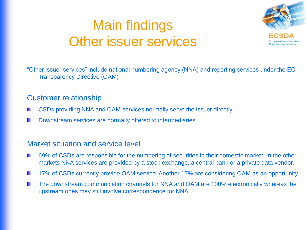## Main findings Other issuer services



"Other issuer services" include national numbering agency (NNA) and reporting services under the EC Transparency Directive (OAM)

#### Customer relationship

- CSDs providing NNA and OAM services normally serve the issuer directly.
- Downstream services are normally offered to intermediaries.

- 69% of CSDs are responsible for the numbering of securities in their domestic market. In the other markets NNA services are provided by a stock exchange, a central bank or a private data vendor.
- 17% of CSDs currently provide OAM service. Another 17% are considering OAM as an opportunity. ٠
- The downstream communication channels for NNA and OAM are 100% electronically whereas the ٠ upstream ones may still involve correspondence for NNA.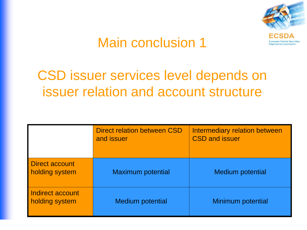

### Main conclusion 1

### CSD issuer services level depends on issuer relation and account structure

|                                    | <b>Direct relation between CSD</b><br>and issuer | Intermediary relation between<br><b>CSD and issuer</b> |
|------------------------------------|--------------------------------------------------|--------------------------------------------------------|
| Direct account<br>holding system   | <b>Maximum potential</b>                         | <b>Medium potential</b>                                |
| Indirect account<br>holding system | <b>Medium potential</b>                          | <b>Minimum potential</b>                               |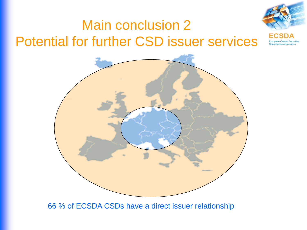



66 % of ECSDA CSDs have a direct issuer relationship